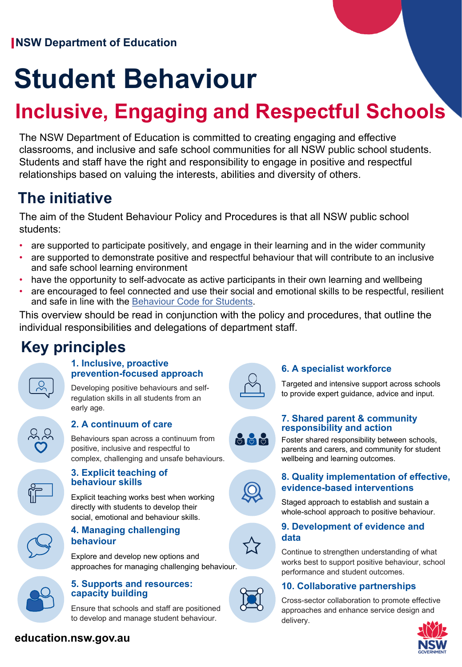# **Student Behaviour**

# **Inclusive, Engaging and Respectful Schools**

The NSW Department of Education is committed to creating engaging and effective classrooms, and inclusive and safe school communities for all NSW public school students. Students and staff have the right and responsibility to engage in positive and respectful relationships based on valuing the interests, abilities and diversity of others.

# **The initiative**

The aim of the Student Behaviour Policy and Procedures is that all NSW public school students:

- are supported to participate positively, and engage in their learning and in the wider community
- are supported to demonstrate positive and respectful behaviour that will contribute to an inclusive and safe school learning environment
- have the opportunity to self-advocate as active participants in their own learning and wellbeing
- are encouraged to feel connected and use their social and emotional skills to be respectful, resilient and safe in line with the [Behaviour Code for Students.](https://education.nsw.gov.au/public-schools/going-to-a-public-school/translated-documents/behaviour-code-for-students)

This overview should be read in conjunction with the policy and procedures, that outline the individual responsibilities and delegations of department staff.

# **Key principles**



#### **1. Inclusive, proactive prevention-focused approach**

Developing positive behaviours and selfregulation skills in all students from an early age.



#### **2. A continuum of care**

Behaviours span across a continuum from positive, inclusive and respectful to complex, challenging and unsafe behaviours.



#### **3. Explicit teaching of behaviour skills**

Explicit teaching works best when working directly with students to develop their social, emotional and behaviour skills.

#### **4. Managing challenging behaviour**

Explore and develop new options and approaches for managing challenging behaviour.



#### **5. Supports and resources: capacity building**

Ensure that schools and staff are positioned to develop and manage student behaviour.



#### **6. A specialist workforce**

Targeted and intensive support across schools to provide expert guidance, advice and input.

# 999

#### **7. Shared parent & community responsibility and action**

Foster shared responsibility between schools, parents and carers, and community for student wellbeing and learning outcomes.



#### **8. Quality implementation of effective, evidence-based interventions**

Staged approach to establish and sustain a whole-school approach to positive behaviour.

#### **9. Development of evidence and data**

Continue to strengthen understanding of what works best to support positive behaviour, school performance and student outcomes.

#### **10. Collaborative partnerships**

Cross-sector collaboration to promote effective approaches and enhance service design and delivery.



**education.nsw.gov.au**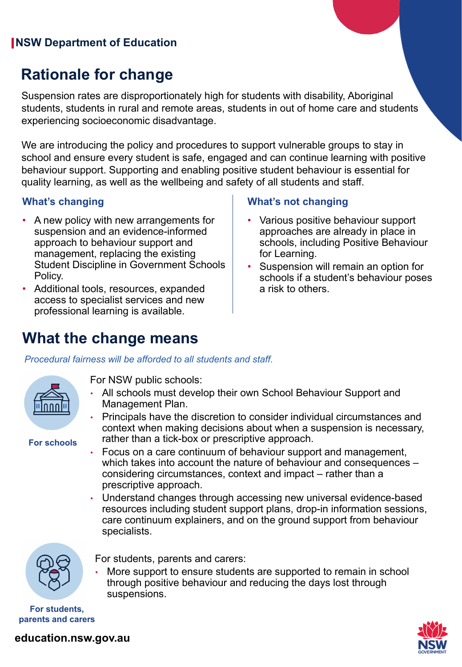### **NSW Department of Education**

## **Rationale for change**

Suspension rates are disproportionately high for students with disability, Aboriginal students, students in rural and remote areas, students in out of home care and students experiencing socioeconomic disadvantage.

We are introducing the policy and procedures to support vulnerable groups to stay in school and ensure every student is safe, engaged and can continue learning with positive behaviour support. Supporting and enabling positive student behaviour is essential for quality learning, as well as the wellbeing and safety of all students and staff.

- A new policy with new arrangements for suspension and an evidence-informed approach to behaviour support and management, replacing the existing Student Discipline in Government Schools Policy.
- Additional tools, resources, expanded access to specialist services and new professional learning is available.

#### **What's changing What's not changing**

- Various positive behaviour support approaches are already in place in schools, including Positive Behaviour for Learning.
- Suspension will remain an option for schools if a student's behaviour poses a risk to others.

### **What the change means**

*Procedural fairness will be afforded to all students and staff.*



**For schools**

For NSW public schools:

- All schools must develop their own School Behaviour Support and Management Plan.
- Principals have the discretion to consider individual circumstances and context when making decisions about when a suspension is necessary, rather than a tick-box or prescriptive approach.
- Focus on a care continuum of behaviour support and management, which takes into account the nature of behaviour and consequences – considering circumstances, context and impact – rather than a prescriptive approach.
- Understand changes through accessing new universal evidence-based resources including student support plans, drop-in information sessions, care continuum explainers, and on the ground support from behaviour specialists.



For students, parents and carers:

More support to ensure students are supported to remain in school through positive behaviour and reducing the days lost through suspensions.

**For students, parents and carers**



**education.nsw.gov.au**